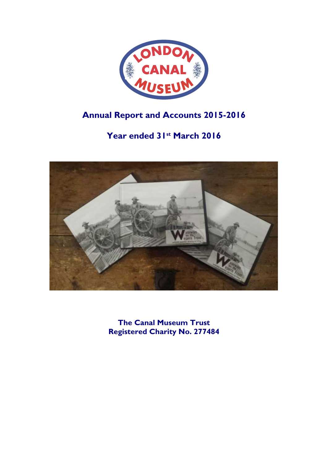

# **Annual Report and Accounts 2015-2016**

# **Year ended 31st March 2016**



**The Canal Museum Trust Registered Charity No. 277484**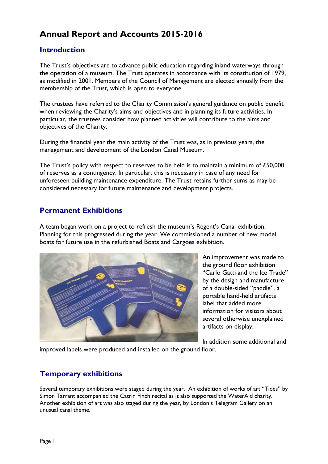# **Annual Report and Accounts 2015-2016**

# **Introduction**

The Trust's objectives are to advance public education regarding inland waterways through the operation of a museum. The Trust operates in accordance with its constitution of 1979, as modified in 2001. Members of the Council of Management are elected annually from the membership of the Trust, which is open to everyone.

The trustees have referred to the Charity Commission's general guidance on public benefit when reviewing the Charity's aims and objectives and in planning its future activities. In particular, the trustees consider how planned activities will contribute to the aims and objectives of the Charity.

During the financial year the main activity of the Trust was, as in previous years, the management and development of the London Canal Museum.

The Trust's policy with respect to reserves to be held is to maintain a minimum of £50,000 of reserves as a contingency. In particular, this is necessary in case of any need for unforeseen building maintenance expenditure. The Trust retains further sums as may be considered necessary for future maintenance and development projects.

# **Permanent Exhibitions**

A team began work on a project to refresh the museum's Regent's Canal exhibition. Planning for this progressed during the year. We commissioned a number of new model boats for future use in the refurbished Boats and Cargoes exhibition.



An improvement was made to the ground floor exhibition "Carlo Gatti and the Ice Trade" by the design and manufacture of a double-sided "paddle", a portable hand-held artifacts label that added more information for visitors about several otherwise unexplained artifacts on display.

In addition some additional and

improved labels were produced and installed on the ground floor.

# **Temporary exhibitions**

Several temporary exhibitions were staged during the year. An exhibition of works of art "Tides" by Simon Tarrant accompanied the Catrin Finch recital as it also supported the WaterAid charity. Another exhibition of art was also staged during the year, by London's Telegram Gallery on an unusual canal theme.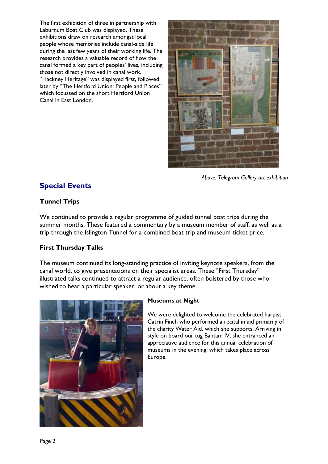The first exhibition of three in partnership with Laburnum Boat Club was displayed. These exhibitions draw on research amongst local people whose memories include canal-side life during the last few years of their working life. The research provides a valuable record of how the canal formed a key part of peoples' lives, including those not directly involved in canal work. "Hackney Heritage" was displayed first, followed later by "The Hertford Union: People and Places" which focussed on the short Hertford Union Canal in East London.



*Above: Telegram Gallery art exhibition*

# **Special Events**

# **Tunnel Trips**

We continued to provide a regular programme of guided tunnel boat trips during the summer months. These featured a commentary by a museum member of staff, as well as a trip through the Islington Tunnel for a combined boat trip and museum ticket price.

# **First Thursday Talks**

The museum continued its long-standing practice of inviting keynote speakers, from the canal world, to give presentations on their specialist areas. These "First Thursday'" illustrated talks continued to attract a regular audience, often bolstered by those who wished to hear a particular speaker, or about a key theme.



# **Museums at Night**

We were delighted to welcome the celebrated harpist Catrin Finch who performed a recital in aid primarily of the charity Water Aid, which she supports. Arriving in style on board our tug Bantam IV, she entranced an appreciative audience for this annual celebration of museums in the evening, which takes place across Europe.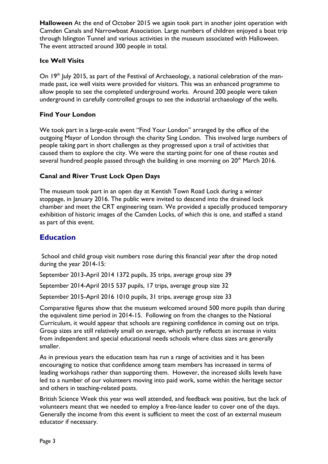**Halloween** At the end of October 2015 we again took part in another joint operation with Camden Canals and Narrowboat Association. Large numbers of children enjoyed a boat trip through Islington Tunnel and various activities in the museum associated with Halloween. The event attracted around 300 people in total.

### **Ice Well Visits**

On 19<sup>th</sup> July 2015, as part of the Festival of Archaeology, a national celebration of the manmade past, ice well visits were provided for visitors. This was an enhanced programme to allow people to see the completed underground works. Around 200 people were taken underground in carefully controlled groups to see the industrial archaeology of the wells.

### **Find Your London**

We took part in a large-scale event "Find Your London" arranged by the office of the outgoing Mayor of London through the charity Sing London. This involved large numbers of people taking part in short challenges as they progressed upon a trail of activities that caused them to explore the city. We were the starting point for one of these routes and several hundred people passed through the building in one morning on 20<sup>th</sup> March 2016.

### **Canal and River Trust Lock Open Days**

The museum took part in an open day at Kentish Town Road Lock during a winter stoppage, in January 2016. The public were invited to descend into the drained lock chamber and meet the CRT engineering team. We provided a specially produced temporary exhibition of historic images of the Camden Locks, of which this is one, and staffed a stand as part of this event.

# **Education**

School and child group visit numbers rose during this financial year after the drop noted during the year 2014-15:

September 2013-April 2014 1372 pupils, 35 trips, average group size 39

September 2014-April 2015 537 pupils, 17 trips, average group size 32

September 2015-April 2016 1010 pupils, 31 trips, average group size 33

Comparative figures show that the museum welcomed around 500 more pupils than during the equivalent time period in 2014-15. Following on from the changes to the National Curriculum, it would appear that schools are regaining confidence in coming out on trips. Group sizes are still relatively small on average, which partly reflects an increase in visits from independent and special educational needs schools where class sizes are generally smaller.

As in previous years the education team has run a range of activities and it has been encouraging to notice that confidence among team members has increased in terms of leading workshops rather than supporting them. However, the increased skills levels have led to a number of our volunteers moving into paid work, some within the heritage sector and others in teaching-related posts.

British Science Week this year was well attended, and feedback was positive, but the lack of volunteers meant that we needed to employ a free-lance leader to cover one of the days. Generally the income from this event is sufficient to meet the cost of an external museum educator if necessary.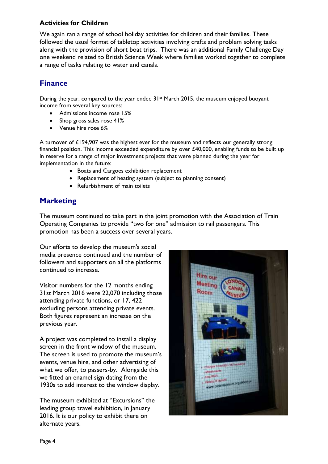## **Activities for Children**

We again ran a range of school holiday activities for children and their families. These followed the usual format of tabletop activities involving crafts and problem solving tasks along with the provision of short boat trips. There was an additional Family Challenge Day one weekend related to British Science Week where families worked together to complete a range of tasks relating to water and canals.

# **Finance**

During the year, compared to the year ended  $3!$ <sup>st</sup> March 2015, the museum enjoyed buoyant income from several key sources:

- Admissions income rose 15%
- Shop gross sales rose 41%
- Venue hire rose 6%

A turnover of £194,907 was the highest ever for the museum and reflects our generally strong financial position. This income exceeded expenditure by over £40,000, enabling funds to be built up in reserve for a range of major investment projects that were planned during the year for implementation in the future:

- Boats and Cargoes exhibition replacement
- Replacement of heating system (subject to planning consent)
- Refurbishment of main toilets

# **Marketing**

The museum continued to take part in the joint promotion with the Association of Train Operating Companies to provide "two for one" admission to rail passengers. This promotion has been a success over several years.

Our efforts to develop the museum's social media presence continued and the number of followers and supporters on all the platforms continued to increase.

Visitor numbers for the 12 months ending 31st March 2016 were 22,070 including those attending private functions, or 17, 422 excluding persons attending private events. Both figures represent an increase on the previous year.

A project was completed to install a display screen in the front window of the museum. The screen is used to promote the museum's events, venue hire, and other advertising of what we offer, to passers-by. Alongside this we fitted an enamel sign dating from the 1930s to add interest to the window display.

The museum exhibited at "Excursions" the leading group travel exhibition, in January 2016. It is our policy to exhibit there on alternate years.

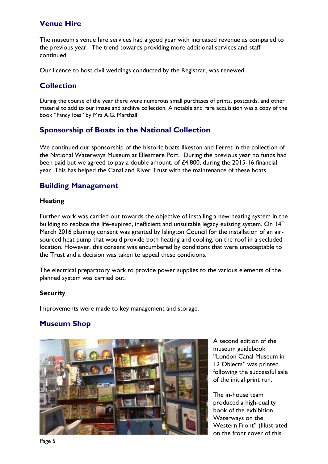# **Venue Hire**

The museum's venue hire services had a good year with increased revenue as compared to the previous year. The trend towards providing more additional services and staff continued.

Our licence to host civil weddings conducted by the Registrar, was renewed

# **Collection**

During the course of the year there were numerous small purchases of prints, postcards, and other material to add to our image and archive collection. A notable and rare acquisition was a copy of the book "Fancy Ices" by Mrs A.G. Marshall

# **Sponsorship of Boats in the National Collection**

We continued our sponsorship of the historic boats Ilkeston and Ferret in the collection of the National Waterways Museum at Ellesmere Port. During the previous year no funds had been paid but we agreed to pay a double amount, of £4,800, during the 2015-16 financial year. This has helped the Canal and River Trust with the maintenance of these boats.

# **Building Management**

### **Heating**

Further work was carried out towards the objective of installing a new heating system in the building to replace the life-expired, inefficient and unsuitable legacy existing system. On  $14<sup>th</sup>$ March 2016 planning consent was granted by Islington Council for the installation of an airsourced heat pump that would provide both heating and cooling, on the roof in a secluded location. However, this consent was encumbered by conditions that were unacceptable to the Trust and a decision was taken to appeal these conditions.

The electrical preparatory work to provide power supplies to the various elements of the planned system was carried out.

### **Security**

Improvements were made to key management and storage.

# **Museum Shop**



A second edition of the museum guidebook "London Canal Museum in 12 Objects" was printed following the successful sale of the initial print run.

The in-house team produced a high-quality book of the exhibition Waterways on the Western Front" (Illustrated on the front cover of this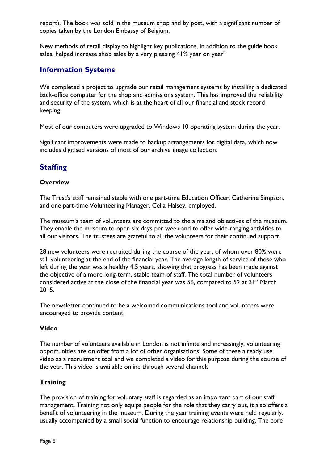report). The book was sold in the museum shop and by post, with a significant number of copies taken by the London Embassy of Belgium.

New methods of retail display to highlight key publications, in addition to the guide book sales, helped increase shop sales by a very pleasing 41% year on year"

# **Information Systems**

We completed a project to upgrade our retail management systems by installing a dedicated back-office computer for the shop and admissions system. This has improved the reliability and security of the system, which is at the heart of all our financial and stock record keeping.

Most of our computers were upgraded to Windows 10 operating system during the year.

Significant improvements were made to backup arrangements for digital data, which now includes digitised versions of most of our archive image collection.

# **Staffing**

### **Overview**

The Trust's staff remained stable with one part-time Education Officer, Catherine Simpson, and one part-time Volunteering Manager, Celia Halsey, employed.

The museum's team of volunteers are committed to the aims and objectives of the museum. They enable the museum to open six days per week and to offer wide-ranging activities to all our visitors. The trustees are grateful to all the volunteers for their continued support.

28 new volunteers were recruited during the course of the year, of whom over 80% were still volunteering at the end of the financial year. The average length of service of those who left during the year was a healthy 4.5 years, showing that progress has been made against the objective of a more long-term, stable team of staff. The total number of volunteers considered active at the close of the financial year was 56, compared to 52 at  $31^{st}$  March 2015.

The newsletter continued to be a welcomed communications tool and volunteers were encouraged to provide content.

### **Video**

The number of volunteers available in London is not infinite and increasingly, volunteering opportunities are on offer from a lot of other organisations. Some of these already use video as a recruitment tool and we completed a video for this purpose during the course of the year. This video is available online through several channels

# **Training**

The provision of training for voluntary staff is regarded as an important part of our staff management. Training not only equips people for the role that they carry out, it also offers a benefit of volunteering in the museum. During the year training events were held regularly, usually accompanied by a small social function to encourage relationship building. The core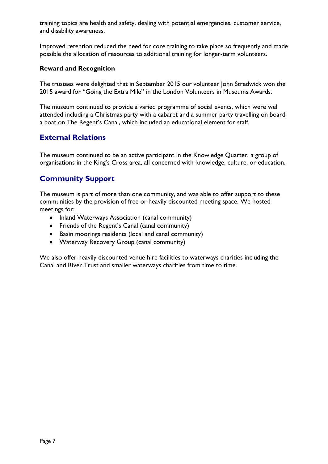training topics are health and safety, dealing with potential emergencies, customer service, and disability awareness.

Improved retention reduced the need for core training to take place so frequently and made possible the allocation of resources to additional training for longer-term volunteers.

### **Reward and Recognition**

The trustees were delighted that in September 2015 our volunteer John Stredwick won the 2015 award for "Going the Extra Mile" in the London Volunteers in Museums Awards.

The museum continued to provide a varied programme of social events, which were well attended including a Christmas party with a cabaret and a summer party travelling on board a boat on The Regent's Canal, which included an educational element for staff.

# **External Relations**

The museum continued to be an active participant in the Knowledge Quarter, a group of organisations in the King's Cross area, all concerned with knowledge, culture, or education.

# **Community Support**

The museum is part of more than one community, and was able to offer support to these communities by the provision of free or heavily discounted meeting space. We hosted meetings for:

- Inland Waterways Association (canal community)
- Friends of the Regent's Canal (canal community)
- Basin moorings residents (local and canal community)
- Waterway Recovery Group (canal community)

We also offer heavily discounted venue hire facilities to waterways charities including the Canal and River Trust and smaller waterways charities from time to time.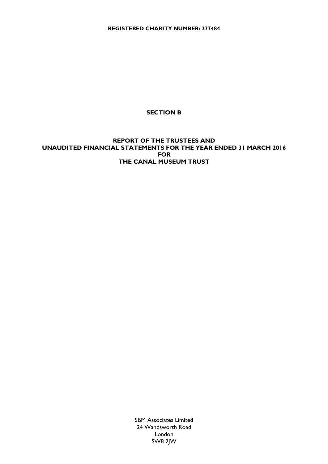**REGISTERED CHARITY NUMBER: 277484**

### **SECTION B**

### **REPORT OF THE TRUSTEES AND UNAUDITED FINANCIAL STATEMENTS FOR THE YEAR ENDED 31 MARCH 2016 FOR THE CANAL MUSEUM TRUST**

SBM Associates Limited 24 Wandsworth Road London SW8 2JW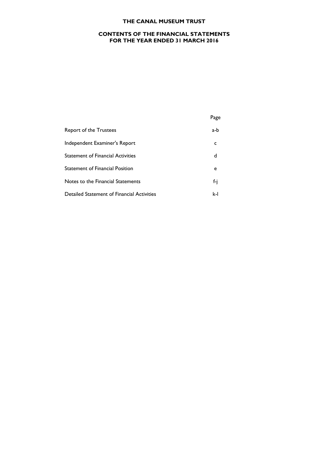### **CONTENTS OF THE FINANCIAL STATEMENTS FOR THE YEAR ENDED 31 MARCH 2016**

Page

| Report of the Trustees                     | a-h- |
|--------------------------------------------|------|
| Independent Examiner's Report              | c    |
| <b>Statement of Financial Activities</b>   | d    |
| <b>Statement of Financial Position</b>     | e    |
| Notes to the Financial Statements          | f-i  |
| Detailed Statement of Financial Activities | k-l  |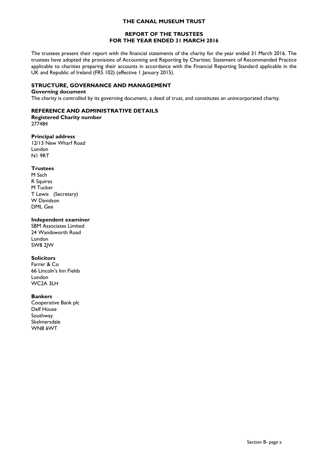#### **REPORT OF THE TRUSTEES FOR THE YEAR ENDED 31 MARCH 2016**

The trustees present their report with the financial statements of the charity for the year ended 31 March 2016. The trustees have adopted the provisions of Accounting and Reporting by Charities: Statement of Recommended Practice applicable to charities preparing their accounts in accordance with the Financial Reporting Standard applicable in the UK and Republic of Ireland (FRS 102) (effective 1 January 2015).

#### **STRUCTURE, GOVERNANCE AND MANAGEMENT**

#### **Governing document**

The charity is controlled by its governing document, a deed of trust, and constitutes an unincorporated charity.

#### **REFERENCE AND ADMINISTRATIVE DETAILS**

**Registered Charity number** 277484

#### **Principal address**

12/13 New Wharf Road London N1 9RT

#### **Trustees**

M Sach R Squires M Tucker T Lewis (Secretary) W Davidson DML Gee

#### **Independent examiner**

SBM Associates Limited 24 Wandsworth Road London SW8 2JW

#### **Solicitors**

Farrer & Co 66 Lincoln's Inn Fields London WC2A 3LH

#### **Bankers**

Cooperative Bank plc Delf House Southway **Skelmersdale** WN8 6WT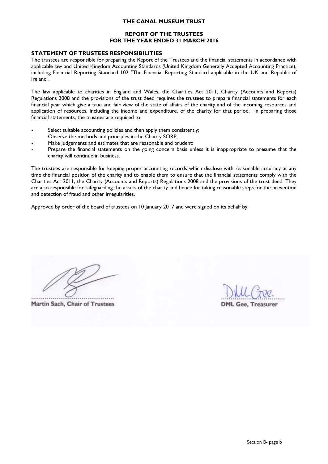### **REPORT OF THE TRUSTEES FOR THE YEAR ENDED 31 MARCH 2016**

#### **STATEMENT OF TRUSTEES RESPONSIBILITIES**

The trustees are responsible for preparing the Report of the Trustees and the financial statements in accordance with applicable law and United Kingdom Accounting Standards (United Kingdom Generally Accepted Accounting Practice), including Financial Reporting Standard 102 "The Financial Reporting Standard applicable in the UK and Republic of Ireland".

The law applicable to charities in England and Wales, the Charities Act 2011, Charity (Accounts and Reports) Regulations 2008 and the provisions of the trust deed requires the trustees to prepare financial statements for each financial year which give a true and fair view of the state of affairs of the charity and of the incoming resources and application of resources, including the income and expenditure, of the charity for that period. In preparing those financial statements, the trustees are required to

- Select suitable accounting policies and then apply them consistently;
- Observe the methods and principles in the Charity SORP;
- Make judgements and estimates that are reasonable and prudent;
- Prepare the financial statements on the going concern basis unless it is inappropriate to presume that the charity will continue in business.

The trustees are responsible for keeping proper accounting records which disclose with reasonable accuracy at any time the financial position of the charity and to enable them to ensure that the financial statements comply with the Charities Act 2011, the Charity (Accounts and Reports) Regulations 2008 and the provisions of the trust deed. They are also responsible for safeguarding the assets of the charity and hence for taking reasonable steps for the prevention and detection of fraud and other irregularities.

Approved by order of the board of trustees on 10 January 2017 and were signed on its behalf by:

Martin Sach, Chair of Trustees

**DML Gee. Treasurer**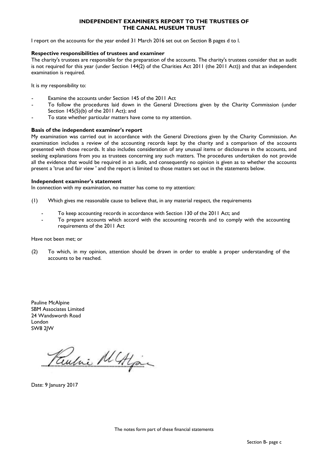#### **INDEPENDENT EXAMINER'S REPORT TO THE TRUSTEES OF THE CANAL MUSEUM TRUST**

I report on the accounts for the year ended 31 March 2016 set out on Section B pages d to l.

#### **Respective responsibilities of trustees and examiner**

The charity's trustees are responsible for the preparation of the accounts. The charity's trustees consider that an audit is not required for this year (under Section 144(2) of the Charities Act 2011 (the 2011 Act)) and that an independent examination is required.

It is my responsibility to:

- Examine the accounts under Section 145 of the 2011 Act
- To follow the procedures laid down in the General Directions given by the Charity Commission (under Section 145(5)(b) of the 2011 Act); and
- To state whether particular matters have come to my attention.

#### **Basis of the independent examiner's report**

My examination was carried out in accordance with the General Directions given by the Charity Commission. An examination includes a review of the accounting records kept by the charity and a comparison of the accounts presented with those records. It also includes consideration of any unusual items or disclosures in the accounts, and seeking explanations from you as trustees concerning any such matters. The procedures undertaken do not provide all the evidence that would be required in an audit, and consequently no opinion is given as to whether the accounts present a 'true and fair view ' and the report is limited to those matters set out in the statements below.

#### **Independent examiner's statement**

In connection with my examination, no matter has come to my attention:

- (1) Which gives me reasonable cause to believe that, in any material respect, the requirements
	- To keep accounting records in accordance with Section 130 of the 2011 Act; and
	- To prepare accounts which accord with the accounting records and to comply with the accounting requirements of the 2011 Act

#### Have not been met; or

(2) To which, in my opinion, attention should be drawn in order to enable a proper understanding of the accounts to be reached.

Pauline McAlpine SBM Associates Limited 24 Wandsworth Road London SW8 2JW

Pulic MALigan

Date: 9 January 2017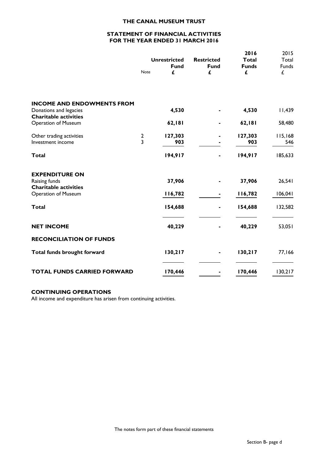#### **STATEMENT OF FINANCIAL ACTIVITIES FOR THE YEAR ENDED 31 MARCH 2016**

|                                                        |                                  | <b>Unrestricted</b><br><b>Fund</b> | <b>Restricted</b><br><b>Fund</b> | 2016<br>Total<br><b>Funds</b> | 2015<br>Total<br>Funds |
|--------------------------------------------------------|----------------------------------|------------------------------------|----------------------------------|-------------------------------|------------------------|
|                                                        | Note                             | £                                  | £                                | £                             | £                      |
| <b>INCOME AND ENDOWMENTS FROM</b>                      |                                  |                                    |                                  |                               |                        |
| Donations and legacies<br><b>Charitable activities</b> |                                  | 4,530                              |                                  | 4,530                         | 11,439                 |
| Operation of Museum                                    |                                  | 62,181                             |                                  | 62,181                        | 58,480                 |
| Other trading activities<br>Investment income          | $\overline{2}$<br>$\overline{3}$ | 127,303<br>903                     |                                  | 127,303<br>903                | 115,168<br>546         |
| <b>Total</b>                                           |                                  | 194,917                            |                                  | 194,917                       | 185,633                |
| <b>EXPENDITURE ON</b>                                  |                                  |                                    |                                  |                               |                        |
| Raising funds<br><b>Charitable activities</b>          |                                  | 37,906                             |                                  | 37,906                        | 26,541                 |
| <b>Operation of Museum</b>                             |                                  | 116,782                            |                                  | 116,782                       | 106,041                |
| <b>Total</b>                                           |                                  | 154,688                            |                                  | 154,688                       | 132,582                |
| <b>NET INCOME</b>                                      |                                  | 40,229                             |                                  | 40,229                        | 53,051                 |
| <b>RECONCILIATION OF FUNDS</b>                         |                                  |                                    |                                  |                               |                        |
| Total funds brought forward                            |                                  | 130,217                            |                                  | 130,217                       | 77,166                 |
| <b>TOTAL FUNDS CARRIED FORWARD</b>                     |                                  | 170,446                            |                                  | 170,446                       | 130,217                |

#### **CONTINUING OPERATIONS**

All income and expenditure has arisen from continuing activities.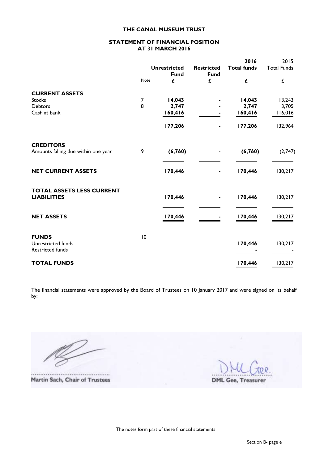#### **STATEMENT OF FINANCIAL POSITION AT 31 MARCH 2016**

|                                                        |                 |                     |                   | 2016               | 2015               |
|--------------------------------------------------------|-----------------|---------------------|-------------------|--------------------|--------------------|
|                                                        |                 | <b>Unrestricted</b> | <b>Restricted</b> | <b>Total funds</b> | <b>Total Funds</b> |
|                                                        | Note            | <b>Fund</b><br>£    | <b>Fund</b><br>£  | £                  | Ĺ                  |
|                                                        |                 |                     |                   |                    |                    |
| <b>CURRENT ASSETS</b>                                  |                 |                     |                   |                    |                    |
| Stocks                                                 | $\overline{7}$  | 14,043              |                   | 14,043             | 13,243             |
| <b>Debtors</b>                                         | 8               | 2,747               |                   | 2,747              | 3,705              |
| Cash at bank                                           |                 | 160,416             |                   | 160,416            | 116,016            |
|                                                        |                 | 177,206             | ٠                 | 177,206            | 132,964            |
| <b>CREDITORS</b>                                       |                 |                     |                   |                    |                    |
| Amounts falling due within one year                    | 9               | (6,760)             |                   | (6,760)            | (2,747)            |
| <b>NET CURRENT ASSETS</b>                              |                 | 170,446             |                   | 170,446            | 130,217            |
| <b>TOTAL ASSETS LESS CURRENT</b><br><b>LIABILITIES</b> |                 | 170,446             |                   | 170,446            | 130,217            |
| <b>NET ASSETS</b>                                      |                 | 170,446             |                   | 170,446            | 130,217            |
| <b>FUNDS</b><br>Unrestricted funds                     | $\overline{10}$ |                     |                   | 170,446            | 130,217            |
| Restricted funds<br><b>TOTAL FUNDS</b>                 |                 |                     |                   | 170,446            | 130,217            |

The financial statements were approved by the Board of Trustees on 10 January 2017 and were signed on its behalf by:

Martin Sach, Chair of Trustees

**DML Gee, Treasurer**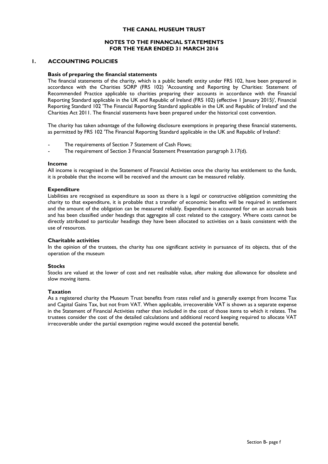#### **NOTES TO THE FINANCIAL STATEMENTS FOR THE YEAR ENDED 31 MARCH 2016**

#### **1. ACCOUNTING POLICIES**

#### **Basis of preparing the financial statements**

The financial statements of the charity, which is a public benefit entity under FRS 102, have been prepared in accordance with the Charities SORP (FRS 102) 'Accounting and Reporting by Charities: Statement of Recommended Practice applicable to charities preparing their accounts in accordance with the Financial Reporting Standard applicable in the UK and Republic of Ireland (FRS 102) (effective 1 January 2015)', Financial Reporting Standard 102 'The Financial Reporting Standard applicable in the UK and Republic of Ireland' and the Charities Act 2011. The financial statements have been prepared under the historical cost convention.

The charity has taken advantage of the following disclosure exemptions in preparing these financial statements, as permitted by FRS 102 'The Financial Reporting Standard applicable in the UK and Republic of Ireland':

- The requirements of Section 7 Statement of Cash Flows;
- The requirement of Section 3 Financial Statement Presentation paragraph 3.17(d).

#### **Income**

All income is recognised in the Statement of Financial Activities once the charity has entitlement to the funds, it is probable that the income will be received and the amount can be measured reliably.

#### **Expenditure**

Liabilities are recognised as expenditure as soon as there is a legal or constructive obligation committing the charity to that expenditure, it is probable that a transfer of economic benefits will be required in settlement and the amount of the obligation can be measured reliably. Expenditure is accounted for on an accruals basis and has been classified under headings that aggregate all cost related to the category. Where costs cannot be directly attributed to particular headings they have been allocated to activities on a basis consistent with the use of resources.

#### **Charitable activities**

In the opinion of the trustees, the charity has one significant activity in pursuance of its objects, that of the operation of the museum

#### **Stocks**

Stocks are valued at the lower of cost and net realisable value, after making due allowance for obsolete and slow moving items.

#### **Taxation**

As a registered charity the Museum Trust benefits from rates relief and is generally exempt from Income Tax and Capital Gains Tax, but not from VAT. When applicable, irrecoverable VAT is shown as a separate expense in the Statement of Financial Activities rather than included in the cost of those items to which it relates. The trustees consider the cost of the detailed calculations and additional record keeping required to allocate VAT irrecoverable under the partial exemption regime would exceed the potential benefit.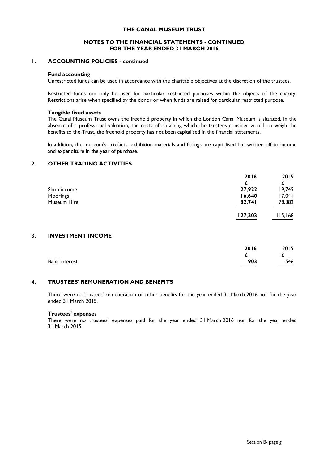#### **NOTES TO THE FINANCIAL STATEMENTS - CONTINUED FOR THE YEAR ENDED 31 MARCH 2016**

#### **1. ACCOUNTING POLICIES - continued**

#### **Fund accounting**

Unrestricted funds can be used in accordance with the charitable objectives at the discretion of the trustees.

Restricted funds can only be used for particular restricted purposes within the objects of the charity. Restrictions arise when specified by the donor or when funds are raised for particular restricted purpose.

#### **Tangible fixed assets**

The Canal Museum Trust owns the freehold property in which the London Canal Museum is situated. In the absence of a professional valuation, the costs of obtaining which the trustees consider would outweigh the benefits to the Trust, the freehold property has not been capitalised in the financial statements.

In addition, the museum's artefacts, exhibition materials and fittings are capitalised but written off to income and expenditure in the year of purchase.

#### **2. OTHER TRADING ACTIVITIES**

|             | 2016    | 2015    |
|-------------|---------|---------|
|             |         |         |
| Shop income | 27,922  | 19,745  |
| Moorings    | 16,640  | 17,041  |
| Museum Hire | 82,741  | 78,382  |
|             | 127,303 | 115,168 |

#### **3. INVESTMENT INCOME**

|                      | 2016         | 2015 |
|----------------------|--------------|------|
|                      |              |      |
| <b>Bank interest</b> | 903<br>_____ | 546  |

#### **4. TRUSTEES' REMUNERATION AND BENEFITS**

There were no trustees' remuneration or other benefits for the year ended 31 March 2016 nor for the year ended 31 March 2015.

#### **Trustees' expenses**

There were no trustees' expenses paid for the year ended 31 March 2016 nor for the year ended 31 March 2015.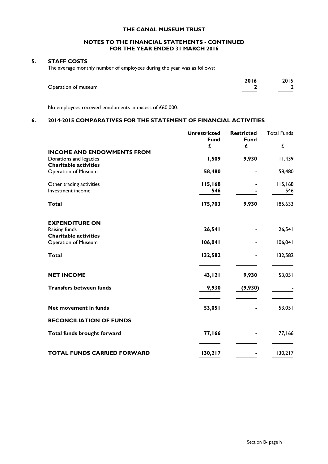#### **NOTES TO THE FINANCIAL STATEMENTS - CONTINUED FOR THE YEAR ENDED 31 MARCH 2016**

### **5. STAFF COSTS**

The average monthly number of employees during the year was as follows:

|                     | 2016 | 2015          |
|---------------------|------|---------------|
| Operation of museum |      | $\mathcal{D}$ |
|                     |      |               |

No employees received emoluments in excess of £60,000.

### **6. 2014-2015 COMPARATIVES FOR THE STATEMENT OF FINANCIAL ACTIVITIES**

|                                                        | <b>Unrestricted</b> | <b>Restricted</b> | <b>Total Funds</b> |
|--------------------------------------------------------|---------------------|-------------------|--------------------|
|                                                        | <b>Fund</b><br>£    | <b>Fund</b><br>£  | £                  |
| <b>INCOME AND ENDOWMENTS FROM</b>                      |                     |                   |                    |
| Donations and legacies<br><b>Charitable activities</b> | 1,509               | 9,930             | 11,439             |
| Operation of Museum                                    | 58,480              |                   | 58,480             |
| Other trading activities                               | 115,168             |                   | 115,168            |
| Investment income                                      | 546                 |                   | 546                |
| <b>Total</b>                                           | 175,703             | 9,930             | 185,633            |
| <b>EXPENDITURE ON</b>                                  |                     |                   |                    |
| Raising funds<br><b>Charitable activities</b>          | 26,541              |                   | 26,541             |
| <b>Operation of Museum</b>                             | 106,041             |                   | 106,041            |
| <b>Total</b>                                           | 132,582             |                   | 132,582            |
| <b>NET INCOME</b>                                      | 43, 121             | 9,930             | 53,051             |
| <b>Transfers between funds</b>                         | 9,930               | (9,930)           |                    |
| Net movement in funds                                  | 53,051              |                   | 53,051             |
| <b>RECONCILIATION OF FUNDS</b>                         |                     |                   |                    |
| Total funds brought forward                            | 77,166              |                   | 77,166             |
| <b>TOTAL FUNDS CARRIED FORWARD</b>                     | 130,217             |                   | 130,217            |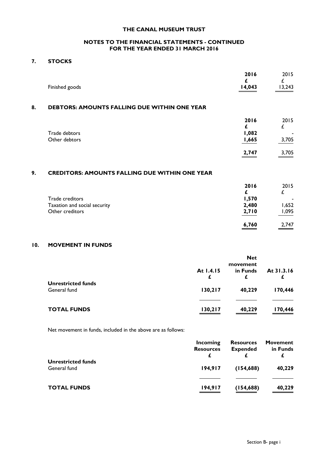#### **NOTES TO THE FINANCIAL STATEMENTS - CONTINUED FOR THE YEAR ENDED 31 MARCH 2016**

### **7. STOCKS**

|    | Finished goods                                      | 2016<br>£<br>14,043    | 2015<br>13,243     |
|----|-----------------------------------------------------|------------------------|--------------------|
| 8. | <b>DEBTORS: AMOUNTS FALLING DUE WITHIN ONE YEAR</b> |                        |                    |
|    | Trade debtors<br>Other debtors                      | 2016<br>1,082<br>1,665 | 2015<br>£<br>3,705 |
|    |                                                     | 2,747                  | 3,705              |
| ۰  | CREDITORS: AMOUNTS EALLING DUE WITHIN ONE YEAR      |                        |                    |

### **9. CREDITORS: AMOUNTS FALLING DUE WITHIN ONE YEAR**

|                              | 2016  | 2015                     |
|------------------------------|-------|--------------------------|
| Trade creditors              | 1,570 | $\overline{\phantom{0}}$ |
| Taxation and social security | 2,480 | 1,652                    |
| Other creditors              | 2,710 | 1,095                    |
|                              | 6,760 | 2,747                    |

### **10. MOVEMENT IN FUNDS**

|                                           |                | <b>Net</b><br>movement |            |
|-------------------------------------------|----------------|------------------------|------------|
|                                           | At 1.4.15<br>£ | in Funds<br>£          | At 31.3.16 |
| <b>Unrestricted funds</b><br>General fund | 130,217        | 40,229                 | 170,446    |
|                                           |                |                        |            |
| <b>TOTAL FUNDS</b>                        | 130,217        | 40,229                 | 170,446    |

Net movement in funds, included in the above are as follows:

|                                           | Incoming<br><b>Resources</b> | <b>Resources</b><br><b>Expended</b> | Movement<br>in Funds |
|-------------------------------------------|------------------------------|-------------------------------------|----------------------|
| <b>Unrestricted funds</b><br>General fund | 194.917                      | (154, 688)                          | 40,229               |
| <b>TOTAL FUNDS</b>                        | 194,917                      | (154, 688)                          | 40,229               |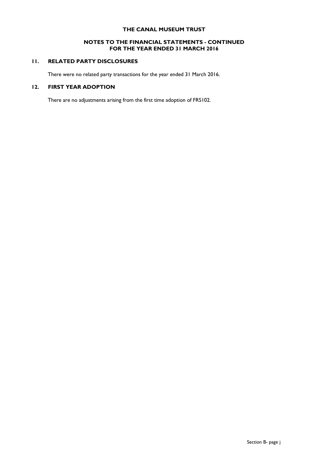#### **NOTES TO THE FINANCIAL STATEMENTS - CONTINUED FOR THE YEAR ENDED 31 MARCH 2016**

### **11. RELATED PARTY DISCLOSURES**

There were no related party transactions for the year ended 31 March 2016.

#### **12. FIRST YEAR ADOPTION**

There are no adjustments arising from the first time adoption of FRS102.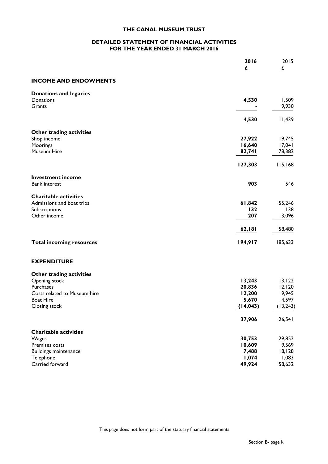#### **DETAILED STATEMENT OF FINANCIAL ACTIVITIES FOR THE YEAR ENDED 31 MARCH 2016**

|                                                           | 2016<br>£        | 2015<br>£         |
|-----------------------------------------------------------|------------------|-------------------|
| <b>INCOME AND ENDOWMENTS</b>                              |                  |                   |
| <b>Donations and legacies</b><br>Donations                | 4,530            | 1,509             |
| Grants                                                    |                  | 9,930             |
|                                                           | 4,530            | 11,439            |
| Other trading activities                                  |                  |                   |
| Shop income                                               | 27,922           | 19,745            |
| Moorings                                                  | 16,640           | 17,041            |
| Museum Hire                                               | 82,741           | 78,382            |
|                                                           | 127,303          | 115,168           |
| <b>Investment income</b>                                  |                  |                   |
| <b>Bank interest</b>                                      | 903              | 546               |
| <b>Charitable activities</b><br>Admissions and boat trips | 61,842           | 55,246            |
| Subscriptions                                             | 132              | 138               |
| Other income                                              | 207              | 3,096             |
|                                                           | 62,181           | 58,480            |
| <b>Total incoming resources</b>                           | 194,917          | 185,633           |
|                                                           |                  |                   |
| <b>EXPENDITURE</b>                                        |                  |                   |
| Other trading activities                                  |                  |                   |
| Opening stock<br>Purchases                                | 13,243<br>20,836 | 13, 122<br>12,120 |
| Costs related to Museum hire                              | 12,200           | 9,945             |
| <b>Boat Hire</b>                                          | 5,670            | 4,597             |
| Closing stock                                             | (14, 043)        | (13, 243)         |
|                                                           | 37,906           | 26,541            |
| <b>Charitable activities</b>                              |                  |                   |
| Wages                                                     | 30,753           | 29,852            |
| Premises costs                                            | 10,609           | 9,569             |
| <b>Buildings maintenance</b>                              | 7,488            | 18,128            |
| Telephone                                                 | 1,074            | 1,083             |
| Carried forward                                           | 49,924           | 58,632            |

This page does not form part of the statuary financial statements